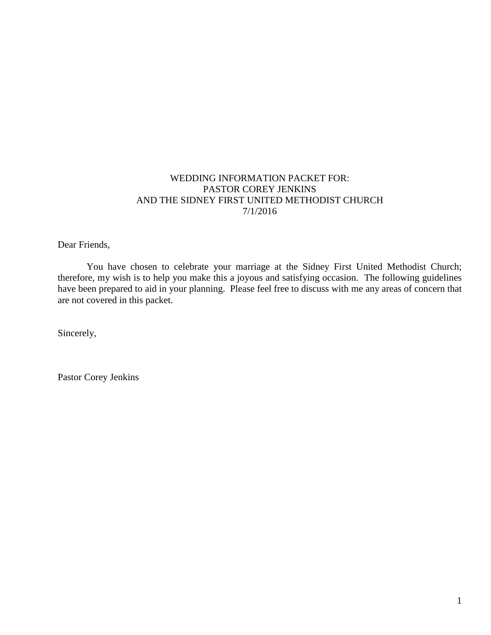# WEDDING INFORMATION PACKET FOR: PASTOR COREY JENKINS AND THE SIDNEY FIRST UNITED METHODIST CHURCH 7/1/2016

Dear Friends,

You have chosen to celebrate your marriage at the Sidney First United Methodist Church; therefore, my wish is to help you make this a joyous and satisfying occasion. The following guidelines have been prepared to aid in your planning. Please feel free to discuss with me any areas of concern that are not covered in this packet.

Sincerely,

Pastor Corey Jenkins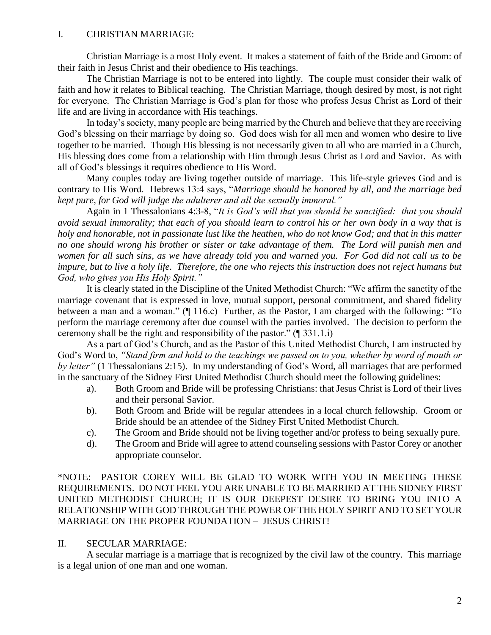## I. CHRISTIAN MARRIAGE:

Christian Marriage is a most Holy event. It makes a statement of faith of the Bride and Groom: of their faith in Jesus Christ and their obedience to His teachings.

The Christian Marriage is not to be entered into lightly. The couple must consider their walk of faith and how it relates to Biblical teaching. The Christian Marriage, though desired by most, is not right for everyone. The Christian Marriage is God's plan for those who profess Jesus Christ as Lord of their life and are living in accordance with His teachings.

In today's society, many people are being married by the Church and believe that they are receiving God's blessing on their marriage by doing so. God does wish for all men and women who desire to live together to be married. Though His blessing is not necessarily given to all who are married in a Church, His blessing does come from a relationship with Him through Jesus Christ as Lord and Savior. As with all of God's blessings it requires obedience to His Word.

Many couples today are living together outside of marriage. This life-style grieves God and is contrary to His Word. Hebrews 13:4 says, "*Marriage should be honored by all, and the marriage bed kept pure, for God will judge the adulterer and all the sexually immoral."*

Again in 1 Thessalonians 4:3-8, "*It is God's will that you should be sanctified: that you should avoid sexual immorality; that each of you should learn to control his or her own body in a way that is holy and honorable, not in passionate lust like the heathen, who do not know God; and that in this matter no one should wrong his brother or sister or take advantage of them. The Lord will punish men and women for all such sins, as we have already told you and warned you. For God did not call us to be impure, but to live a holy life. Therefore, the one who rejects this instruction does not reject humans but God, who gives you His Holy Spirit."*

It is clearly stated in the Discipline of the United Methodist Church: "We affirm the sanctity of the marriage covenant that is expressed in love, mutual support, personal commitment, and shared fidelity between a man and a woman." (¶ 116.c) Further, as the Pastor, I am charged with the following: "To perform the marriage ceremony after due counsel with the parties involved. The decision to perform the ceremony shall be the right and responsibility of the pastor." (¶ 331.1.i)

As a part of God's Church, and as the Pastor of this United Methodist Church, I am instructed by God's Word to, *"Stand firm and hold to the teachings we passed on to you, whether by word of mouth or by letter"* (1 Thessalonians 2:15). In my understanding of God's Word, all marriages that are performed in the sanctuary of the Sidney First United Methodist Church should meet the following guidelines:

- a). Both Groom and Bride will be professing Christians: that Jesus Christ is Lord of their lives and their personal Savior.
- b). Both Groom and Bride will be regular attendees in a local church fellowship. Groom or Bride should be an attendee of the Sidney First United Methodist Church.
- c). The Groom and Bride should not be living together and/or profess to being sexually pure.
- d). The Groom and Bride will agree to attend counseling sessions with Pastor Corey or another appropriate counselor.

\*NOTE: PASTOR COREY WILL BE GLAD TO WORK WITH YOU IN MEETING THESE REQUIREMENTS. DO NOT FEEL YOU ARE UNABLE TO BE MARRIED AT THE SIDNEY FIRST UNITED METHODIST CHURCH; IT IS OUR DEEPEST DESIRE TO BRING YOU INTO A RELATIONSHIP WITH GOD THROUGH THE POWER OF THE HOLY SPIRIT AND TO SET YOUR MARRIAGE ON THE PROPER FOUNDATION – JESUS CHRIST!

# II. SECULAR MARRIAGE:

A secular marriage is a marriage that is recognized by the civil law of the country. This marriage is a legal union of one man and one woman.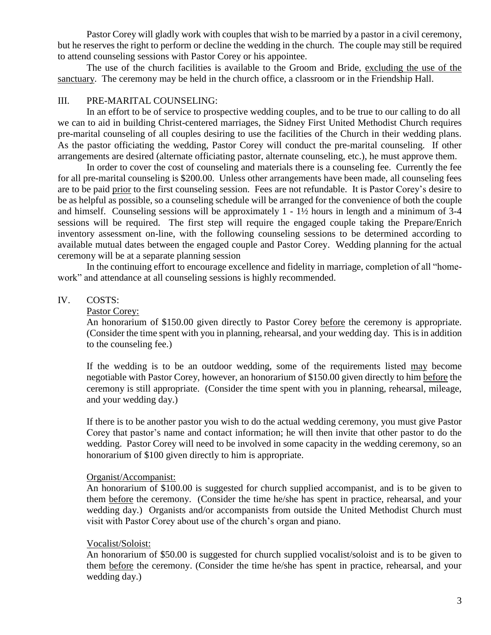Pastor Corey will gladly work with couples that wish to be married by a pastor in a civil ceremony, but he reserves the right to perform or decline the wedding in the church. The couple may still be required to attend counseling sessions with Pastor Corey or his appointee.

The use of the church facilities is available to the Groom and Bride, excluding the use of the sanctuary. The ceremony may be held in the church office, a classroom or in the Friendship Hall.

### III. PRE-MARITAL COUNSELING:

In an effort to be of service to prospective wedding couples, and to be true to our calling to do all we can to aid in building Christ-centered marriages, the Sidney First United Methodist Church requires pre-marital counseling of all couples desiring to use the facilities of the Church in their wedding plans. As the pastor officiating the wedding, Pastor Corey will conduct the pre-marital counseling. If other arrangements are desired (alternate officiating pastor, alternate counseling, etc.), he must approve them.

In order to cover the cost of counseling and materials there is a counseling fee. Currently the fee for all pre-marital counseling is \$200.00. Unless other arrangements have been made, all counseling fees are to be paid prior to the first counseling session. Fees are not refundable. It is Pastor Corey's desire to be as helpful as possible, so a counseling schedule will be arranged for the convenience of both the couple and himself. Counseling sessions will be approximately 1 - 1½ hours in length and a minimum of 3-4 sessions will be required. The first step will require the engaged couple taking the Prepare/Enrich inventory assessment on-line, with the following counseling sessions to be determined according to available mutual dates between the engaged couple and Pastor Corey. Wedding planning for the actual ceremony will be at a separate planning session

In the continuing effort to encourage excellence and fidelity in marriage, completion of all "homework" and attendance at all counseling sessions is highly recommended.

### IV. COSTS:

### Pastor Corey:

An honorarium of \$150.00 given directly to Pastor Corey before the ceremony is appropriate. (Consider the time spent with you in planning, rehearsal, and your wedding day. This is in addition to the counseling fee.)

If the wedding is to be an outdoor wedding, some of the requirements listed may become negotiable with Pastor Corey, however, an honorarium of \$150.00 given directly to him before the ceremony is still appropriate. (Consider the time spent with you in planning, rehearsal, mileage, and your wedding day.)

If there is to be another pastor you wish to do the actual wedding ceremony, you must give Pastor Corey that pastor's name and contact information; he will then invite that other pastor to do the wedding. Pastor Corey will need to be involved in some capacity in the wedding ceremony, so an honorarium of \$100 given directly to him is appropriate.

#### Organist/Accompanist:

An honorarium of \$100.00 is suggested for church supplied accompanist, and is to be given to them before the ceremony. (Consider the time he/she has spent in practice, rehearsal, and your wedding day.) Organists and/or accompanists from outside the United Methodist Church must visit with Pastor Corey about use of the church's organ and piano.

#### Vocalist/Soloist:

An honorarium of \$50.00 is suggested for church supplied vocalist/soloist and is to be given to them before the ceremony. (Consider the time he/she has spent in practice, rehearsal, and your wedding day.)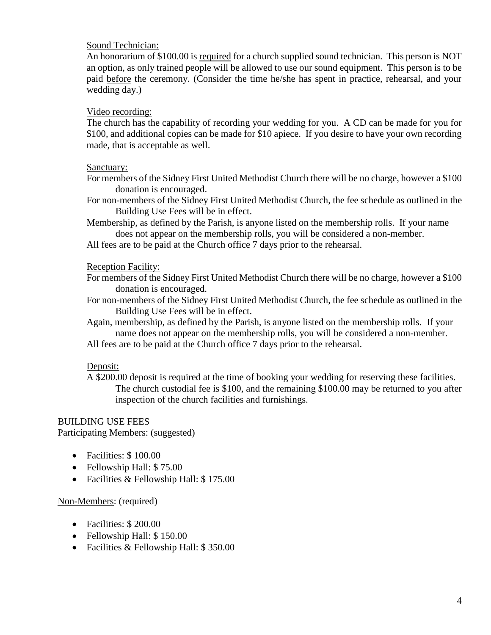## Sound Technician:

An honorarium of \$100.00 is required for a church supplied sound technician. This person is NOT an option, as only trained people will be allowed to use our sound equipment. This person is to be paid before the ceremony. (Consider the time he/she has spent in practice, rehearsal, and your wedding day.)

## Video recording:

The church has the capability of recording your wedding for you. A CD can be made for you for \$100, and additional copies can be made for \$10 apiece. If you desire to have your own recording made, that is acceptable as well.

## Sanctuary:

For members of the Sidney First United Methodist Church there will be no charge, however a \$100 donation is encouraged.

For non-members of the Sidney First United Methodist Church, the fee schedule as outlined in the Building Use Fees will be in effect.

Membership, as defined by the Parish, is anyone listed on the membership rolls. If your name does not appear on the membership rolls, you will be considered a non-member.

All fees are to be paid at the Church office 7 days prior to the rehearsal.

## Reception Facility:

For members of the Sidney First United Methodist Church there will be no charge, however a \$100 donation is encouraged.

For non-members of the Sidney First United Methodist Church, the fee schedule as outlined in the Building Use Fees will be in effect.

Again, membership, as defined by the Parish, is anyone listed on the membership rolls. If your name does not appear on the membership rolls, you will be considered a non-member.

All fees are to be paid at the Church office 7 days prior to the rehearsal.

# Deposit:

A \$200.00 deposit is required at the time of booking your wedding for reserving these facilities. The church custodial fee is \$100, and the remaining \$100.00 may be returned to you after inspection of the church facilities and furnishings.

#### BUILDING USE FEES Participating Members: (suggested)

- Facilities: \$100.00
- Fellowship Hall: \$75.00
- Facilities & Fellowship Hall: \$175.00

Non-Members: (required)

- Facilities: \$200.00
- Fellowship Hall: \$150.00
- Facilities & Fellowship Hall: \$350.00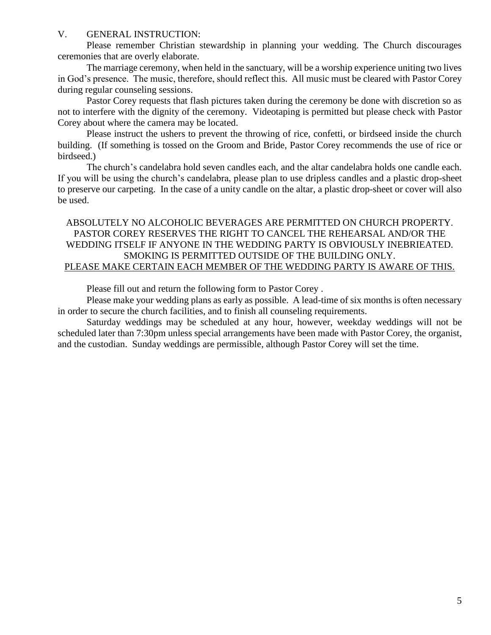### V. GENERAL INSTRUCTION:

Please remember Christian stewardship in planning your wedding. The Church discourages ceremonies that are overly elaborate.

The marriage ceremony, when held in the sanctuary, will be a worship experience uniting two lives in God's presence. The music, therefore, should reflect this. All music must be cleared with Pastor Corey during regular counseling sessions.

Pastor Corey requests that flash pictures taken during the ceremony be done with discretion so as not to interfere with the dignity of the ceremony. Videotaping is permitted but please check with Pastor Corey about where the camera may be located.

Please instruct the ushers to prevent the throwing of rice, confetti, or birdseed inside the church building. (If something is tossed on the Groom and Bride, Pastor Corey recommends the use of rice or birdseed.)

The church's candelabra hold seven candles each, and the altar candelabra holds one candle each. If you will be using the church's candelabra, please plan to use dripless candles and a plastic drop-sheet to preserve our carpeting. In the case of a unity candle on the altar, a plastic drop-sheet or cover will also be used.

## ABSOLUTELY NO ALCOHOLIC BEVERAGES ARE PERMITTED ON CHURCH PROPERTY. PASTOR COREY RESERVES THE RIGHT TO CANCEL THE REHEARSAL AND/OR THE WEDDING ITSELF IF ANYONE IN THE WEDDING PARTY IS OBVIOUSLY INEBRIEATED. SMOKING IS PERMITTED OUTSIDE OF THE BUILDING ONLY. PLEASE MAKE CERTAIN EACH MEMBER OF THE WEDDING PARTY IS AWARE OF THIS.

Please fill out and return the following form to Pastor Corey .

Please make your wedding plans as early as possible. A lead-time of six months is often necessary in order to secure the church facilities, and to finish all counseling requirements.

Saturday weddings may be scheduled at any hour, however, weekday weddings will not be scheduled later than 7:30pm unless special arrangements have been made with Pastor Corey, the organist, and the custodian. Sunday weddings are permissible, although Pastor Corey will set the time.